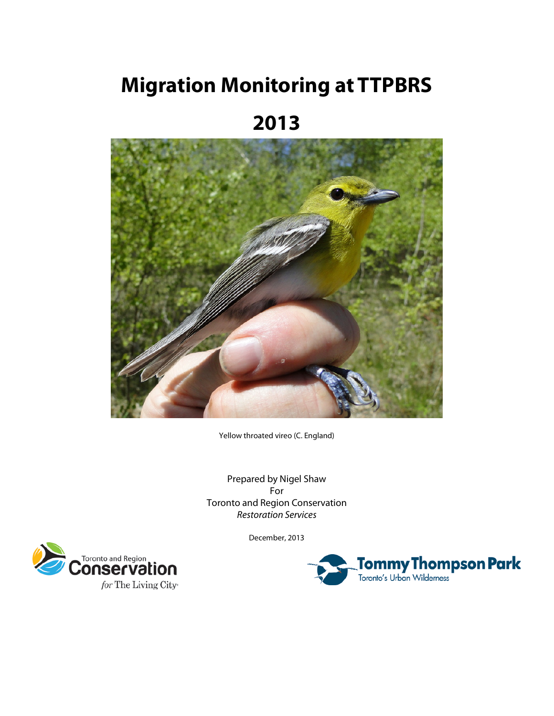# **Migration Monitoring at TTPBRS**

# **2013**



Yellow throated vireo (C. England)

Prepared by Nigel Shaw For Toronto and Region Conservation *Restoration Services*

December, 2013



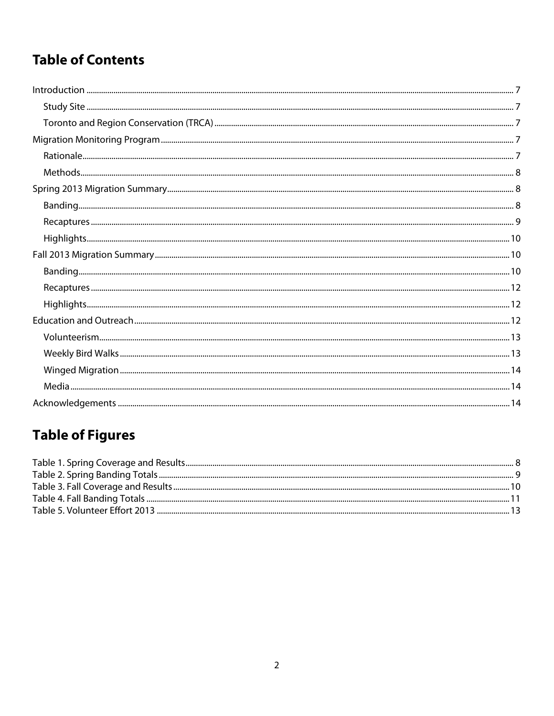# **Table of Contents**

# **Table of Figures**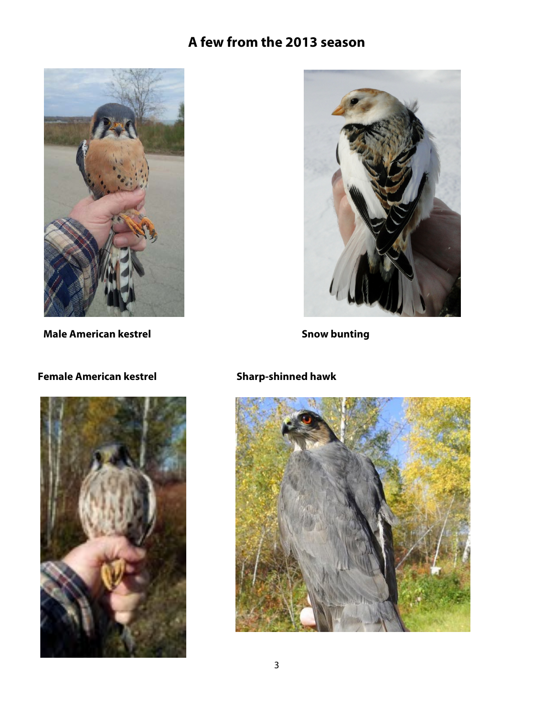## **A few from the 2013 season**



**Male American kestrel Snow bunting** 

#### **Female American kestrel Sharp-shinned hawk**



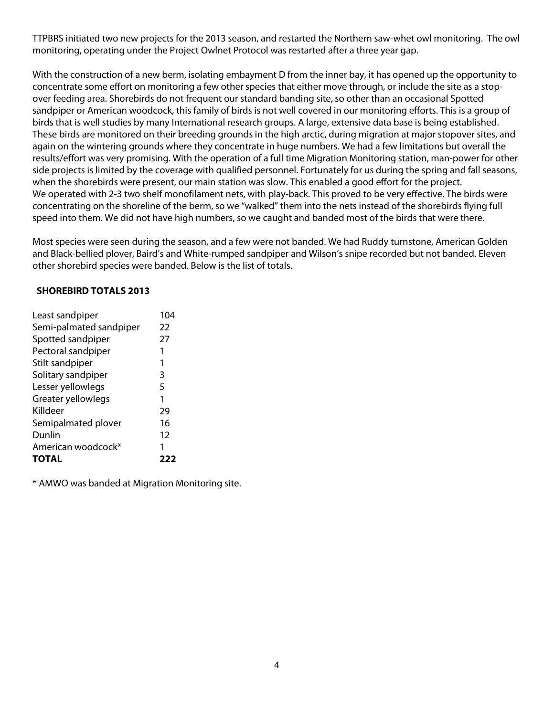TTPBRS initiated two new projects for the 2013 season, and restarted the Northern saw-whet owl monitoring. The owl monitoring, operating under the Project Owlnet Protocol was restarted after a three year gap.

With the construction of a new berm, isolating embayment D from the inner bay, it has opened up the opportunity to concentrate some effort on monitoring a few other species that either move through, or include the site as a stopover feeding area. Shorebirds do not frequent our standard banding site, so other than an occasional Spotted sandpiper or American woodcock, this family of birds is not well covered in our monitoring efforts. This is a group of birds that is well studies by many International research groups. A large, extensive data base is being established. These birds are monitored on their breeding grounds in the high arctic, during migration at major stopover sites, and again on the wintering grounds where they concentrate in huge numbers. We had a few limitations but overall the results/effort was very promising. With the operation of a full time Migration Monitoring station, man-power for other side projects is limited by the coverage with qualified personnel. Fortunately for us during the spring and fall seasons, when the shorebirds were present, our main station was slow. This enabled a good effort for the project. We operated with 2-3 two shelf monofilament nets, with play-back. This proved to be very effective. The birds were concentrating on the shoreline of the berm, so we "walked" them into the nets instead of the shorebirds flying full speed into them. We did not have high numbers, so we caught and banded most of the birds that were there.

Most species were seen during the season, and a few were not banded. We had Ruddy turnstone, American Golden and Black-bellied plover, Baird's and White-rumped sandpiper and Wilson's snipe recorded but not banded. Eleven other shorebird species were banded. Below is the list of totals.

#### **SHOREBIRD TOTALS 2013**

| Least sandpiper         | 104 |
|-------------------------|-----|
| Semi-palmated sandpiper | 22  |
| Spotted sandpiper       | 27  |
| Pectoral sandpiper      | 1   |
| Stilt sandpiper         | 1   |
| Solitary sandpiper      | 3   |
| Lesser yellowlegs       | 5   |
| Greater yellowlegs      | 1   |
| Killdeer                | 29  |
| Semipalmated plover     | 16  |
| Dunlin                  | 12  |
| American woodcock*      |     |
| TOTAL                   |     |

\* AMWO was banded at Migration Monitoring site.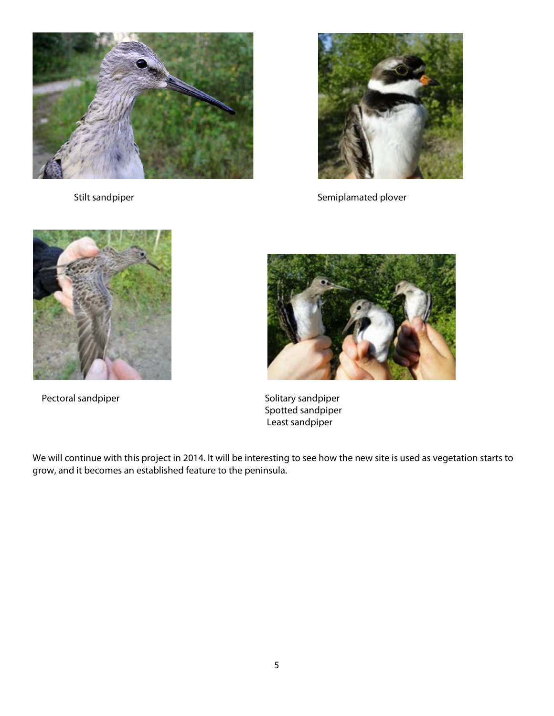



Stilt sandpiper Stilt sandpiper Semiplamated plover





Pectoral sandpiper Solitary sandpiper Spotted sandpiper Least sandpiper

We will continue with this project in 2014. It will be interesting to see how the new site is used as vegetation starts to grow, and it becomes an established feature to the peninsula.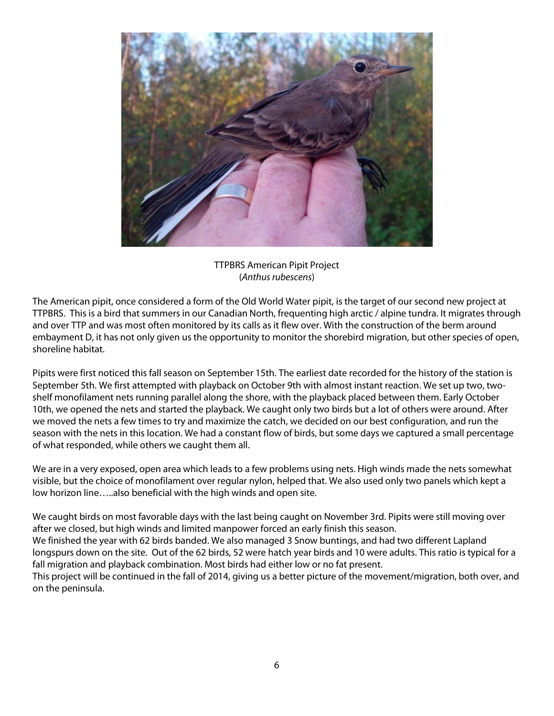

TTPBRS American Pipit Project (*Anthus rubescens*)

The American pipit, once considered a form of the Old World Water pipit, is the target of our second new project at TTPBRS. This is a bird that summers in our Canadian North, frequenting high arctic / alpine tundra. It migrates through and over TTP and was most often monitored by its calls as it flew over. With the construction of the berm around embayment D, it has not only given us the opportunity to monitor the shorebird migration, but other species of open, shoreline habitat.

Pipits were first noticed this fall season on September 15th. The earliest date recorded for the history of the station is September 5th. We first attempted with playback on October 9th with almost instant reaction. We set up two, twoshelf monofilament nets running parallel along the shore, with the playback placed between them. Early October 10th, we opened the nets and started the playback. We caught only two birds but a lot of others were around. After we moved the nets a few times to try and maximize the catch, we decided on our best configuration, and run the season with the nets in this location. We had a constant flow of birds, but some days we captured a small percentage of what responded, while others we caught them all.

We are in a very exposed, open area which leads to a few problems using nets. High winds made the nets somewhat visible, but the choice of monofilament over regular nylon, helped that. We also used only two panels which kept a low horizon line…..also beneficial with the high winds and open site.

We caught birds on most favorable days with the last being caught on November 3rd. Pipits were still moving over after we closed, but high winds and limited manpower forced an early finish this season. We finished the year with 62 birds banded. We also managed 3 Snow buntings, and had two different Lapland longspurs down on the site. Out of the 62 birds, 52 were hatch year birds and 10 were adults. This ratio is typical for a fall migration and playback combination. Most birds had either low or no fat present. This project will be continued in the fall of 2014, giving us a better picture of the movement/migration, both over, and on the peninsula.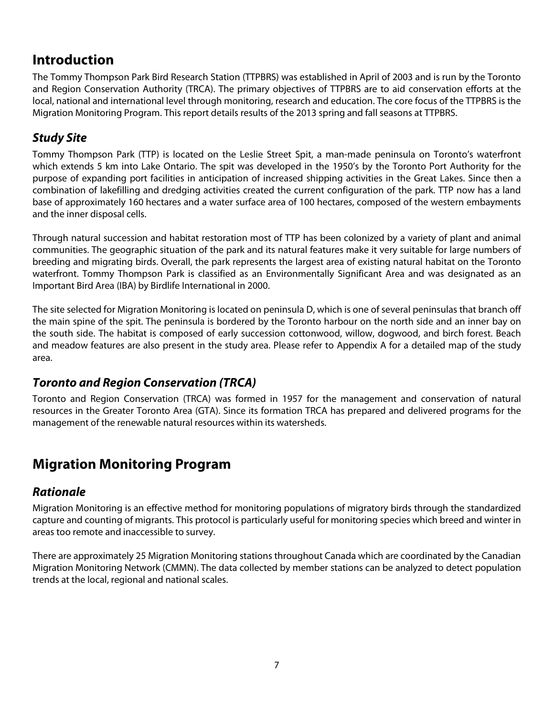## <span id="page-6-0"></span>**Introduction**

The Tommy Thompson Park Bird Research Station (TTPBRS) was established in April of 2003 and is run by the Toronto and Region Conservation Authority (TRCA). The primary objectives of TTPBRS are to aid conservation efforts at the local, national and international level through monitoring, research and education. The core focus of the TTPBRS is the Migration Monitoring Program. This report details results of the 2013 spring and fall seasons at TTPBRS.

## <span id="page-6-1"></span>*Study Site*

Tommy Thompson Park (TTP) is located on the Leslie Street Spit, a man-made peninsula on Toronto's waterfront which extends 5 km into Lake Ontario. The spit was developed in the 1950's by the Toronto Port Authority for the purpose of expanding port facilities in anticipation of increased shipping activities in the Great Lakes. Since then a combination of lakefilling and dredging activities created the current configuration of the park. TTP now has a land base of approximately 160 hectares and a water surface area of 100 hectares, composed of the western embayments and the inner disposal cells.

Through natural succession and habitat restoration most of TTP has been colonized by a variety of plant and animal communities. The geographic situation of the park and its natural features make it very suitable for large numbers of breeding and migrating birds. Overall, the park represents the largest area of existing natural habitat on the Toronto waterfront. Tommy Thompson Park is classified as an Environmentally Significant Area and was designated as an Important Bird Area (IBA) by Birdlife International in 2000.

The site selected for Migration Monitoring is located on peninsula D, which is one of several peninsulas that branch off the main spine of the spit. The peninsula is bordered by the Toronto harbour on the north side and an inner bay on the south side. The habitat is composed of early succession cottonwood, willow, dogwood, and birch forest. Beach and meadow features are also present in the study area. Please refer to Appendix A for a detailed map of the study area.

## <span id="page-6-2"></span>*Toronto and Region Conservation (TRCA)*

Toronto and Region Conservation (TRCA) was formed in 1957 for the management and conservation of natural resources in the Greater Toronto Area (GTA). Since its formation TRCA has prepared and delivered programs for the management of the renewable natural resources within its watersheds.

## <span id="page-6-3"></span>**Migration Monitoring Program**

## <span id="page-6-4"></span>*Rationale*

Migration Monitoring is an effective method for monitoring populations of migratory birds through the standardized capture and counting of migrants. This protocol is particularly useful for monitoring species which breed and winter in areas too remote and inaccessible to survey.

There are approximately 25 Migration Monitoring stations throughout Canada which are coordinated by the Canadian Migration Monitoring Network (CMMN). The data collected by member stations can be analyzed to detect population trends at the local, regional and national scales.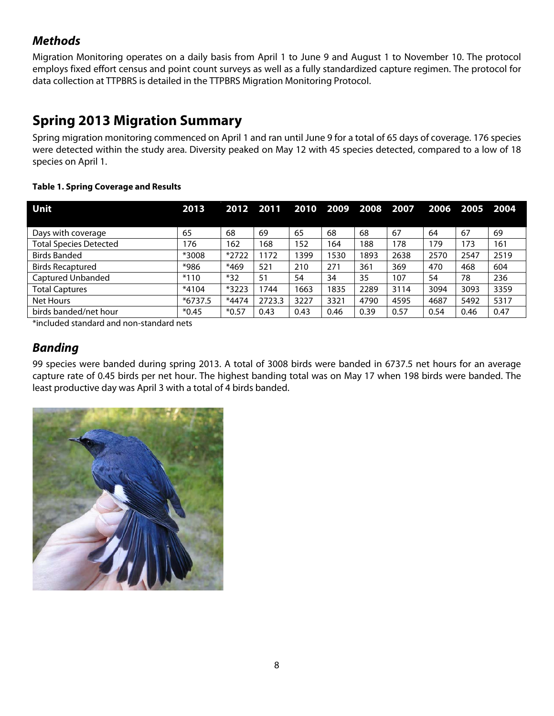#### <span id="page-7-0"></span>*Methods*

Migration Monitoring operates on a daily basis from April 1 to June 9 and August 1 to November 10. The protocol employs fixed effort census and point count surveys as well as a fully standardized capture regimen. The protocol for data collection at TTPBRS is detailed in the TTPBRS Migration Monitoring Protocol.

## <span id="page-7-1"></span>**Spring 2013 Migration Summary**

Spring migration monitoring commenced on April 1 and ran until June 9 for a total of 65 days of coverage. 176 species were detected within the study area. Diversity peaked on May 12 with 45 species detected, compared to a low of 18 species on April 1.

| Unit                          | 2013    | 2012 2011 |        |      | 2010 2009 2008 |      | 2007 | 2006 | 2005 | 2004 |
|-------------------------------|---------|-----------|--------|------|----------------|------|------|------|------|------|
|                               |         |           |        |      |                |      |      |      |      |      |
| Days with coverage            | 65      | 68        | 69     | 65   | 68             | 68   | 67   | 64   | 67   | 69   |
| <b>Total Species Detected</b> | 176     | 162       | 168    | 152  | 164            | 188  | 178  | 179  | 173  | 161  |
| <b>Birds Banded</b>           | *3008   | $*2722$   | 1172   | 1399 | 1530           | 1893 | 2638 | 2570 | 2547 | 2519 |
| <b>Birds Recaptured</b>       | *986    | $*469$    | 521    | 210  | 271            | 361  | 369  | 470  | 468  | 604  |
| <b>Captured Unbanded</b>      | $*110$  | $*32$     | 51     | 54   | 34             | 35   | 107  | 54   | 78   | 236  |
| <b>Total Captures</b>         | $*4104$ | *3223     | 1744   | 1663 | 1835           | 2289 | 3114 | 3094 | 3093 | 3359 |
| <b>Net Hours</b>              | *6737.5 | *4474     | 2723.3 | 3227 | 3321           | 4790 | 4595 | 4687 | 5492 | 5317 |
| birds banded/net hour         | $*0.45$ | $*0.57$   | 0.43   | 0.43 | 0.46           | 0.39 | 0.57 | 0.54 | 0.46 | 0.47 |

#### <span id="page-7-3"></span>**Table 1. Spring Coverage and Results**

<span id="page-7-2"></span>\*included standard and non-standard nets

#### *Banding*

99 species were banded during spring 2013. A total of 3008 birds were banded in 6737.5 net hours for an average capture rate of 0.45 birds per net hour. The highest banding total was on May 17 when 198 birds were banded. The least productive day was April 3 with a total of 4 birds banded.

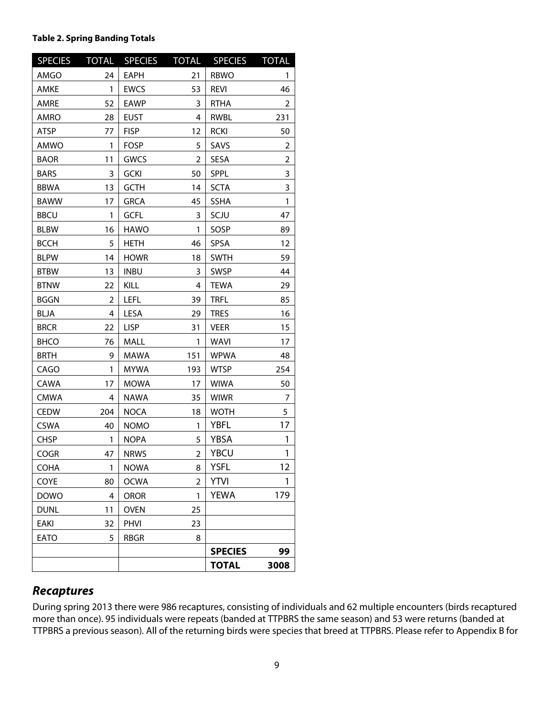#### <span id="page-8-1"></span>**Table 2. Spring Banding Totals**

| <b>SPECIES</b> | <b>TOTAL</b> | <b>SPECIES</b> | <b>TOTAL</b>   | <b>SPECIES</b> | <b>TOTAL</b>   |
|----------------|--------------|----------------|----------------|----------------|----------------|
| AMGO           | 24           | EAPH           | 21             | <b>RBWO</b>    | 1              |
| AMKE           | 1            | <b>EWCS</b>    | 53             | REVI           | 46             |
| <b>AMRE</b>    | 52           | EAWP           | 3              | <b>RTHA</b>    | 2              |
| AMRO           | 28           | <b>EUST</b>    | 4              | <b>RWBL</b>    | 231            |
| <b>ATSP</b>    | 77           | <b>FISP</b>    | 12             | <b>RCKI</b>    | 50             |
| AMWO           | 1            | <b>FOSP</b>    | 5              | SAVS           | 2              |
| <b>BAOR</b>    | 11           | <b>GWCS</b>    | $\overline{2}$ | <b>SESA</b>    | $\overline{2}$ |
| <b>BARS</b>    | 3            | <b>GCKI</b>    | 50             | <b>SPPL</b>    | 3              |
| <b>BBWA</b>    | 13           | <b>GCTH</b>    | 14             | <b>SCTA</b>    | 3              |
| <b>BAWW</b>    | 17           | <b>GRCA</b>    | 45             | <b>SSHA</b>    | 1              |
| <b>BBCU</b>    | 1            | GCFL           | 3              | SCJU           | 47             |
| <b>BLBW</b>    | 16           | <b>HAWO</b>    | 1              | SOSP           | 89             |
| <b>BCCH</b>    | 5            | <b>HETH</b>    | 46             | SPSA           | 12             |
| <b>BLPW</b>    | 14           | <b>HOWR</b>    | 18             | <b>SWTH</b>    | 59             |
| <b>BTBW</b>    | 13           | <b>INBU</b>    | 3              | <b>SWSP</b>    | 44             |
| <b>BTNW</b>    | 22           | KILL           | 4              | <b>TEWA</b>    | 29             |
| <b>BGGN</b>    | 2            | LEFL           | 39             | <b>TRFL</b>    | 85             |
| <b>BLJA</b>    | 4            | LESA           | 29             | <b>TRES</b>    | 16             |
| <b>BRCR</b>    | 22           | <b>LISP</b>    | 31             | Veer           | 15             |
| <b>BHCO</b>    | 76           | MALL           | 1              | WAVI           | 17             |
| <b>BRTH</b>    | 9            | <b>MAWA</b>    | 151            | <b>WPWA</b>    | 48             |
| CAGO           | 1            | <b>MYWA</b>    | 193            | <b>WTSP</b>    | 254            |
| CAWA           | 17           | <b>MOWA</b>    | 17             | <b>WIWA</b>    | 50             |
| <b>CMWA</b>    | 4            | <b>NAWA</b>    | 35             | <b>WIWR</b>    | 7              |
| <b>CEDW</b>    | 204          | <b>NOCA</b>    | 18             | <b>WOTH</b>    | 5              |
| <b>CSWA</b>    | 40           | <b>NOMO</b>    | 1              | YBFL           | 17             |
| <b>CHSP</b>    | 1            | <b>NOPA</b>    | 5              | YBSA           | 1              |
| <b>COGR</b>    | 47           | <b>NRWS</b>    | $\overline{2}$ | YBCU           | 1              |
| <b>COHA</b>    | 1            | <b>NOWA</b>    | 8              | <b>YSFL</b>    | 12             |
| COYE           | 80           | <b>OCWA</b>    | 2              | <b>YTVI</b>    | 1              |
| <b>DOWO</b>    | 4            | <b>OROR</b>    | 1              | <b>YEWA</b>    | 179            |
| <b>DUNL</b>    | 11           | <b>OVEN</b>    | 25             |                |                |
| EAKI           | 32           | <b>PHVI</b>    | 23             |                |                |
| <b>EATO</b>    | 5            | <b>RBGR</b>    | 8              |                |                |
|                |              |                |                | <b>SPECIES</b> | 99             |
|                |              |                |                | <b>TOTAL</b>   | 3008           |

#### <span id="page-8-0"></span>*Recaptures*

During spring 2013 there were 986 recaptures, consisting of individuals and 62 multiple encounters (birds recaptured more than once). 95 individuals were repeats (banded at TTPBRS the same season) and 53 were returns (banded at TTPBRS a previous season). All of the returning birds were species that breed at TTPBRS. Please refer to Appendix B for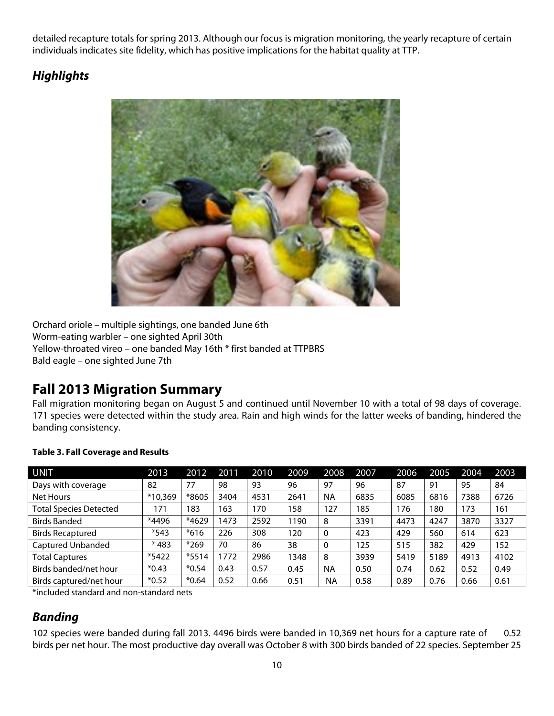detailed recapture totals for spring 2013. Although our focus is migration monitoring, the yearly recapture of certain individuals indicates site fidelity, which has positive implications for the habitat quality at TTP.

## <span id="page-9-0"></span>*Highlights*



Orchard oriole – multiple sightings, one banded June 6th Worm-eating warbler – one sighted April 30th Yellow-throated vireo – one banded May 16th \* first banded at TTPBRS Bald eagle – one sighted June 7th

## <span id="page-9-1"></span>**Fall 2013 Migration Summary**

Fall migration monitoring began on August 5 and continued until November 10 with a total of 98 days of coverage. 171 species were detected within the study area. Rain and high winds for the latter weeks of banding, hindered the banding consistency.

| <b>UNIT</b>                   | 2013    | 2012    | 2011 | 2010 | 2009 | 2008         | 2007 | 2006 | 2005 | 2004 | 2003 |
|-------------------------------|---------|---------|------|------|------|--------------|------|------|------|------|------|
| Days with coverage            | 82      | 77      | 98   | 93   | 96   | 97           | 96   | 87   | 91   | 95   | 84   |
| <b>Net Hours</b>              | *10,369 | *8605   | 3404 | 4531 | 2641 | <b>NA</b>    | 6835 | 6085 | 6816 | 7388 | 6726 |
| <b>Total Species Detected</b> | 171     | 183     | 163  | 170  | 158  | 127          | 185  | 176  | 180  | 173  | 161  |
| <b>Birds Banded</b>           | *4496   | *4629   | 1473 | 2592 | 1190 | 8            | 3391 | 4473 | 4247 | 3870 | 3327 |
| <b>Birds Recaptured</b>       | $*543$  | $*616$  | 226  | 308  | 120  | $\mathbf{0}$ | 423  | 429  | 560  | 614  | 623  |
| Captured Unbanded             | $*483$  | $*269$  | 70   | 86   | 38   | $\mathbf 0$  | 125  | 515  | 382  | 429  | 152  |
| <b>Total Captures</b>         | $*5422$ | $*5514$ | 1772 | 2986 | 1348 | 8            | 3939 | 5419 | 5189 | 4913 | 4102 |
| Birds banded/net hour         | $*0.43$ | $*0.54$ | 0.43 | 0.57 | 0.45 | <b>NA</b>    | 0.50 | 0.74 | 0.62 | 0.52 | 0.49 |
| Birds captured/net hour       | $*0.52$ | $*0.64$ | 0.52 | 0.66 | 0.51 | <b>NA</b>    | 0.58 | 0.89 | 0.76 | 0.66 | 0.61 |

#### <span id="page-9-3"></span>**Table 3. Fall Coverage and Results**

<span id="page-9-2"></span>\*included standard and non-standard nets

## *Banding*

102 species were banded during fall 2013. 4496 birds were banded in 10,369 net hours for a capture rate of 0.52 birds per net hour. The most productive day overall was October 8 with 300 birds banded of 22 species. September 25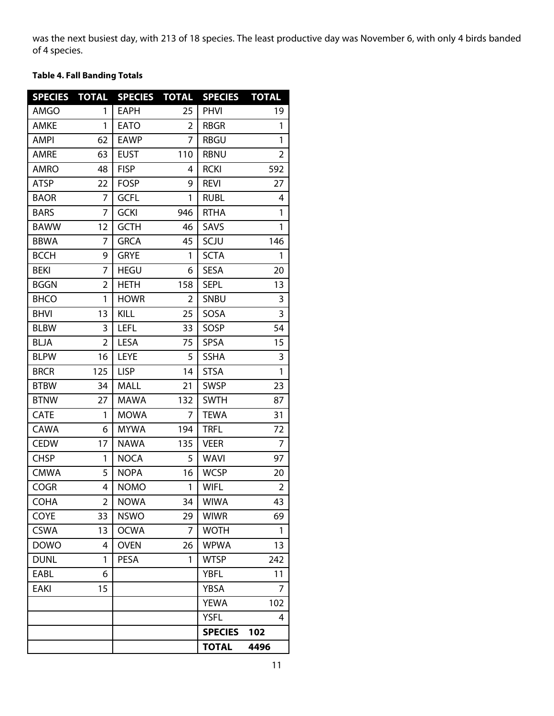was the next busiest day, with 213 of 18 species. The least productive day was November 6, with only 4 birds banded of 4 species.

#### <span id="page-10-0"></span>**Table 4. Fall Banding Totals**

| SPECIES TOTAL |                | SPECIES TOTAL |                | <b>SPECIES</b> | <b>TOTAL</b>   |
|---------------|----------------|---------------|----------------|----------------|----------------|
| AMGO          | 1              | <b>EAPH</b>   | 25             | <b>PHVI</b>    | 19             |
| <b>AMKE</b>   | 1              | <b>EATO</b>   | $\overline{2}$ | <b>RBGR</b>    | 1              |
| <b>AMPI</b>   | 62             | <b>EAWP</b>   | 7              | <b>RBGU</b>    | 1              |
| AMRE          | 63             | <b>EUST</b>   | 110            | <b>RBNU</b>    | $\overline{2}$ |
| <b>AMRO</b>   | 48             | <b>FISP</b>   | 4              | <b>RCKI</b>    | 592            |
| <b>ATSP</b>   | 22             | <b>FOSP</b>   | 9              | <b>REVI</b>    | 27             |
| <b>BAOR</b>   | 7              | <b>GCFL</b>   | 1              | <b>RUBL</b>    | 4              |
| <b>BARS</b>   | 7              | <b>GCKI</b>   | 946            | <b>RTHA</b>    | 1              |
| <b>BAWW</b>   | 12             | <b>GCTH</b>   | 46             | SAVS           | 1              |
| <b>BBWA</b>   | 7              | <b>GRCA</b>   | 45             | SCJU           | 146            |
| <b>BCCH</b>   | 9              | <b>GRYE</b>   | 1              | <b>SCTA</b>    | 1              |
| <b>BEKI</b>   | 7              | <b>HEGU</b>   | 6              | <b>SESA</b>    | 20             |
| <b>BGGN</b>   | 2              | <b>HETH</b>   | 158            | <b>SEPL</b>    | 13             |
| <b>BHCO</b>   | 1              | <b>HOWR</b>   | $\overline{2}$ | SNBU           | 3              |
| <b>BHVI</b>   | 13             | <b>KILL</b>   | 25             | SOSA           | 3              |
| <b>BLBW</b>   | 3              | <b>LEFL</b>   | 33             | SOSP           | 54             |
| <b>BLJA</b>   | $\overline{2}$ | <b>LESA</b>   | 75             | SPSA           | 15             |
| <b>BLPW</b>   | 16             | <b>LEYE</b>   | 5              | <b>SSHA</b>    | 3              |
| <b>BRCR</b>   | 125            | <b>LISP</b>   | 14             | <b>STSA</b>    | 1              |
| <b>BTBW</b>   | 34             | <b>MALL</b>   | 21             | <b>SWSP</b>    | 23             |
| <b>BTNW</b>   | 27             | <b>MAWA</b>   | 132            | <b>SWTH</b>    | 87             |
| <b>CATE</b>   | 1              | <b>MOWA</b>   | 7              | <b>TEWA</b>    | 31             |
| <b>CAWA</b>   | 6              | <b>MYWA</b>   | 194            | <b>TRFL</b>    | 72             |
| <b>CEDW</b>   | 17             | NAWA          | 135            | <b>VEER</b>    | 7              |
| <b>CHSP</b>   | 1              | <b>NOCA</b>   | 5              | <b>WAVI</b>    | 97             |
| <b>CMWA</b>   | 5              | <b>NOPA</b>   | 16             | <b>WCSP</b>    | 20             |
| <b>COGR</b>   | 4              | <b>NOMO</b>   | 1              | <b>WIFL</b>    | $\overline{2}$ |
| <b>COHA</b>   | 2              | <b>NOWA</b>   | 34             | <b>WIWA</b>    | 43             |
| COYE          | 33             | <b>NSWO</b>   | 29             | <b>WIWR</b>    | 69             |
| <b>CSWA</b>   | 13             | <b>OCWA</b>   | 7              | <b>WOTH</b>    | 1              |
| <b>DOWO</b>   | 4              | <b>OVEN</b>   | 26             | <b>WPWA</b>    | 13             |
| <b>DUNL</b>   | 1              | <b>PESA</b>   | 1              | <b>WTSP</b>    | 242            |
| EABL          | 6              |               |                | <b>YBFL</b>    | 11             |
| <b>EAKI</b>   | 15             |               |                | YBSA           | 7              |
|               |                |               |                | <b>YEWA</b>    | 102            |
|               |                |               |                | <b>YSFL</b>    | 4              |
|               |                |               |                | <b>SPECIES</b> | 102            |
|               |                |               |                | <b>TOTAL</b>   | 4496           |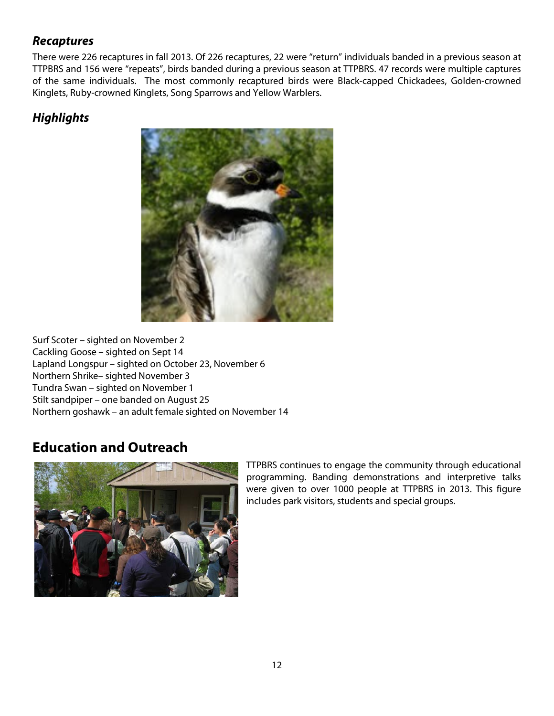#### <span id="page-11-0"></span>*Recaptures*

There were 226 recaptures in fall 2013. Of 226 recaptures, 22 were "return" individuals banded in a previous season at TTPBRS and 156 were "repeats", birds banded during a previous season at TTPBRS. 47 records were multiple captures of the same individuals. The most commonly recaptured birds were Black-capped Chickadees, Golden-crowned Kinglets, Ruby-crowned Kinglets, Song Sparrows and Yellow Warblers.

#### <span id="page-11-1"></span>*Highlights*



Surf Scoter – sighted on November 2 Cackling Goose – sighted on Sept 14 Lapland Longspur – sighted on October 23, November 6 Northern Shrike– sighted November 3 Tundra Swan – sighted on November 1 Stilt sandpiper – one banded on August 25 Northern goshawk – an adult female sighted on November 14

## <span id="page-11-2"></span>**Education and Outreach**



TTPBRS continues to engage the community through educational programming. Banding demonstrations and interpretive talks were given to over 1000 people at TTPBRS in 2013. This figure includes park visitors, students and special groups.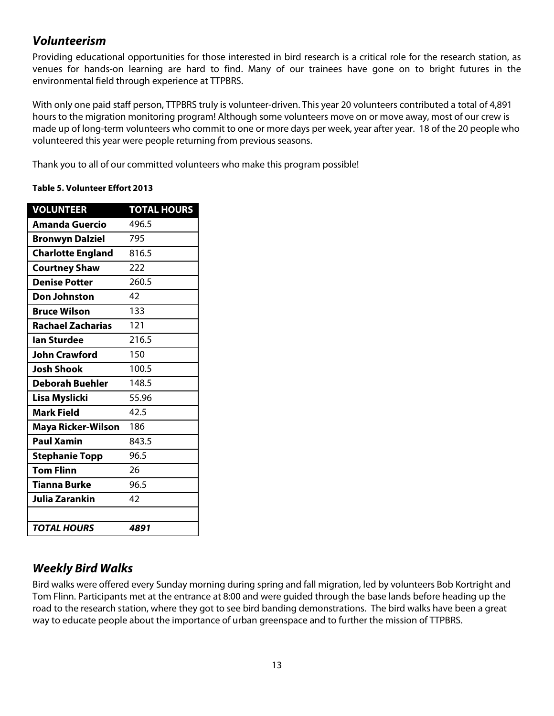#### <span id="page-12-0"></span>*Volunteerism*

Providing educational opportunities for those interested in bird research is a critical role for the research station, as venues for hands-on learning are hard to find. Many of our trainees have gone on to bright futures in the environmental field through experience at TTPBRS.

With only one paid staff person, TTPBRS truly is volunteer-driven. This year 20 volunteers contributed a total of 4,891 hours to the migration monitoring program! Although some volunteers move on or move away, most of our crew is made up of long-term volunteers who commit to one or more days per week, year after year. 18 of the 20 people who volunteered this year were people returning from previous seasons.

Thank you to all of our committed volunteers who make this program possible!

#### <span id="page-12-2"></span>**Table 5. Volunteer Effort 2013**

| <b>VOLUNTEER</b>         | <b>TOTAL HOURS</b> |
|--------------------------|--------------------|
| <b>Amanda Guercio</b>    | 496.5              |
| <b>Bronwyn Dalziel</b>   | 795                |
| <b>Charlotte England</b> | 816.5              |
| <b>Courtney Shaw</b>     | 222                |
| <b>Denise Potter</b>     | 260.5              |
| <b>Don Johnston</b>      | 42                 |
| <b>Bruce Wilson</b>      | 133                |
| <b>Rachael Zacharias</b> | 121                |
| lan Sturdee              | 216.5              |
| <b>John Crawford</b>     | 150                |
| <b>Josh Shook</b>        | 100.5              |
| <b>Deborah Buehler</b>   | 148.5              |
| Lisa Myslicki            | 55.96              |
| <b>Mark Field</b>        | 42.5               |
| Maya Ricker-Wilson       | 186                |
| <b>Paul Xamin</b>        | 843.5              |
| <b>Stephanie Topp</b>    | 96.5               |
| <b>Tom Flinn</b>         | 26                 |
| Tianna Burke             | 96.5               |
| Julia Zarankin           | 42                 |
|                          |                    |
| TOTAL HOURS              | 4891               |

## <span id="page-12-1"></span>*Weekly Bird Walks*

Bird walks were offered every Sunday morning during spring and fall migration, led by volunteers Bob Kortright and Tom Flinn. Participants met at the entrance at 8:00 and were guided through the base lands before heading up the road to the research station, where they got to see bird banding demonstrations. The bird walks have been a great way to educate people about the importance of urban greenspace and to further the mission of TTPBRS.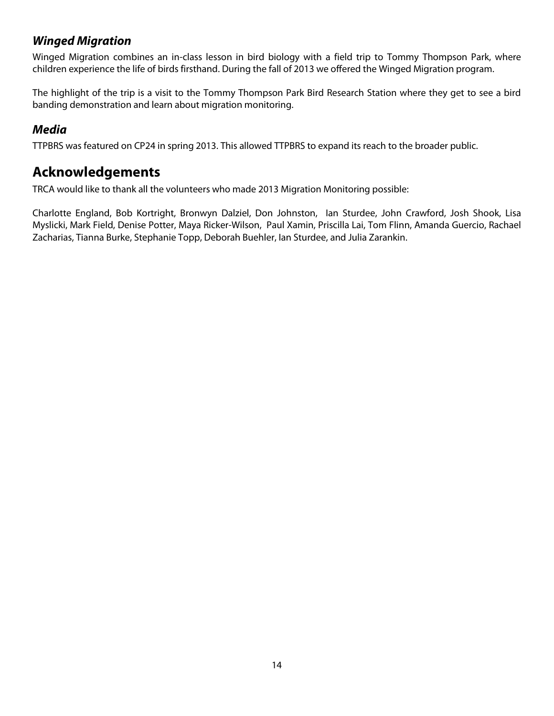#### <span id="page-13-0"></span>*Winged Migration*

Winged Migration combines an in-class lesson in bird biology with a field trip to Tommy Thompson Park, where children experience the life of birds firsthand. During the fall of 2013 we offered the Winged Migration program.

The highlight of the trip is a visit to the Tommy Thompson Park Bird Research Station where they get to see a bird banding demonstration and learn about migration monitoring.

#### <span id="page-13-1"></span>*Media*

<span id="page-13-2"></span>TTPBRS was featured on CP24 in spring 2013. This allowed TTPBRS to expand its reach to the broader public.

## **Acknowledgements**

TRCA would like to thank all the volunteers who made 2013 Migration Monitoring possible:

Charlotte England, Bob Kortright, Bronwyn Dalziel, Don Johnston, Ian Sturdee, John Crawford, Josh Shook, Lisa Myslicki, Mark Field, Denise Potter, Maya Ricker-Wilson, Paul Xamin, Priscilla Lai, Tom Flinn, Amanda Guercio, Rachael Zacharias, Tianna Burke, Stephanie Topp, Deborah Buehler, Ian Sturdee, and Julia Zarankin.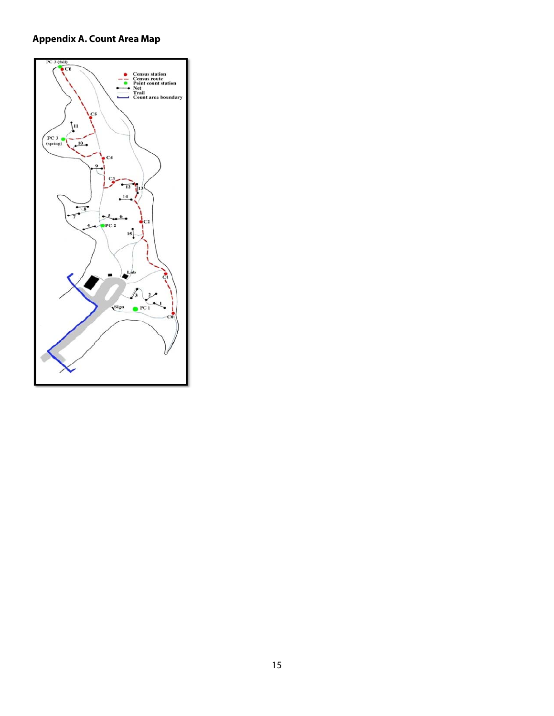## **Appendix A. Count Area Map**

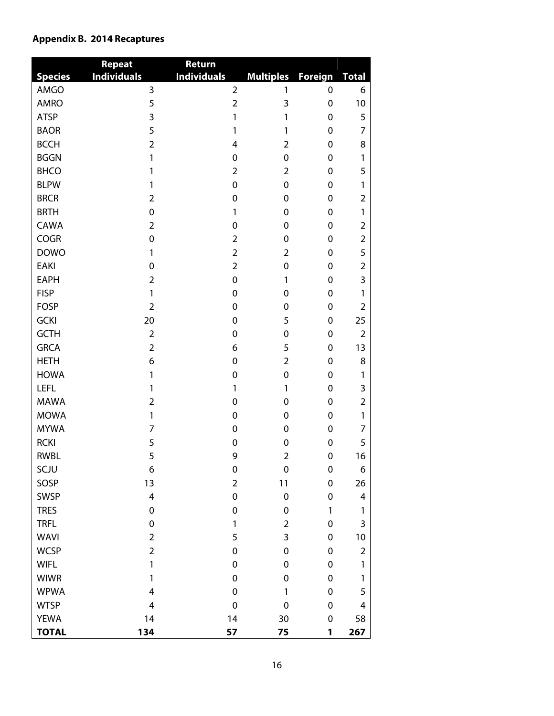#### **Appendix B. 2014 Recaptures**

| <b>Species</b> | Repeat<br><b>Individuals</b> | Return<br><b>Individuals</b> |                               |             | <b>Total</b>   |
|----------------|------------------------------|------------------------------|-------------------------------|-------------|----------------|
| AMGO           | 3                            | $\overline{2}$               | <b>Multiples Foreign</b><br>1 | 0           | 6              |
| <b>AMRO</b>    | 5                            | $\overline{2}$               | 3                             | $\mathbf 0$ | 10             |
| <b>ATSP</b>    | 3                            | 1                            | 1                             | $\mathbf 0$ | 5              |
| <b>BAOR</b>    | 5                            | 1                            | 1                             | $\mathbf 0$ | 7              |
| <b>BCCH</b>    | $\overline{2}$               | 4                            | $\overline{2}$                | 0           | 8              |
| <b>BGGN</b>    | 1                            | 0                            | $\mathbf 0$                   | $\mathbf 0$ | $\mathbf{1}$   |
| <b>BHCO</b>    | 1                            | $\overline{2}$               | $\overline{2}$                | 0           | 5              |
| <b>BLPW</b>    | 1                            | $\mathbf 0$                  | $\mathbf 0$                   | $\mathbf 0$ | 1              |
| <b>BRCR</b>    | $\overline{2}$               | $\mathbf 0$                  | $\mathbf 0$                   | 0           | $\overline{2}$ |
| <b>BRTH</b>    | $\mathbf 0$                  | 1                            | $\mathbf 0$                   | $\mathbf 0$ | 1              |
| <b>CAWA</b>    | $\overline{2}$               | $\mathbf 0$                  | 0                             | 0           | $\overline{2}$ |
| <b>COGR</b>    | $\mathbf 0$                  | $\overline{2}$               | $\mathbf 0$                   | $\mathbf 0$ | $\overline{2}$ |
| <b>DOWO</b>    | 1                            | $\overline{2}$               | $\overline{2}$                | 0           | 5              |
| <b>EAKI</b>    | 0                            | $\overline{2}$               | $\mathbf 0$                   | $\mathbf 0$ | $\overline{2}$ |
| <b>EAPH</b>    | $\overline{2}$               | 0                            | 1                             | 0           | 3              |
| <b>FISP</b>    | 1                            | 0                            | $\mathbf 0$                   | $\mathbf 0$ | 1              |
| <b>FOSP</b>    | $\overline{2}$               | 0                            | $\mathbf 0$                   | $\mathbf 0$ | $\overline{2}$ |
| <b>GCKI</b>    | 20                           | 0                            | 5                             | $\mathbf 0$ | 25             |
| <b>GCTH</b>    | $\overline{2}$               | 0                            | $\mathbf 0$                   | 0           | $\overline{2}$ |
| <b>GRCA</b>    | $\overline{2}$               | 6                            | 5                             | $\mathbf 0$ | 13             |
| <b>HETH</b>    | 6                            | 0                            | $\overline{2}$                | $\mathbf 0$ | 8              |
| <b>HOWA</b>    | 1                            | 0                            | $\mathbf 0$                   | $\mathbf 0$ | $\mathbf{1}$   |
| <b>LEFL</b>    | 1                            | 1                            | 1                             | 0           | 3              |
| <b>MAWA</b>    | $\overline{2}$               | 0                            | $\mathbf 0$                   | $\mathbf 0$ | $\overline{2}$ |
| <b>MOWA</b>    | 1                            | $\mathbf 0$                  | $\mathbf 0$                   | 0           | $\mathbf{1}$   |
| <b>MYWA</b>    | $\overline{7}$               | 0                            | $\mathbf 0$                   | $\mathbf 0$ | $\overline{7}$ |
| <b>RCKI</b>    | 5                            | $\mathbf 0$                  | $\mathbf 0$                   | 0           | 5              |
| <b>RWBL</b>    | 5                            | 9                            | $\overline{2}$                | $\mathbf 0$ | 16             |
| SCJU           | 6                            | $\pmb{0}$                    | $\pmb{0}$                     | $\pmb{0}$   | 6              |
| SOSP           | 13                           | $\overline{2}$               | 11                            | $\pmb{0}$   | 26             |
| SWSP           | 4                            | $\pmb{0}$                    | $\pmb{0}$                     | $\pmb{0}$   | 4              |
| <b>TRES</b>    | $\pmb{0}$                    | 0                            | 0                             | 1           | 1              |
| <b>TRFL</b>    | 0                            | 1                            | $\overline{2}$                | $\mathbf 0$ | 3              |
| <b>WAVI</b>    | $\overline{2}$               | 5                            | 3                             | $\mathbf 0$ | 10             |
| <b>WCSP</b>    | $\overline{2}$               | 0                            | $\mathbf 0$                   | $\pmb{0}$   | $\overline{2}$ |
| <b>WIFL</b>    | $\mathbf{1}$                 | 0                            | 0                             | $\mathbf 0$ | $\mathbf{1}$   |
| <b>WIWR</b>    | 1                            | 0                            | $\mathbf 0$                   | $\mathbf 0$ | 1              |
| <b>WPWA</b>    | 4                            | 0                            | $\mathbf{1}$                  | $\mathbf 0$ | 5              |
| <b>WTSP</b>    | $\overline{\mathbf{4}}$      | $\pmb{0}$                    | $\pmb{0}$                     | $\mathbf 0$ | 4              |
| <b>YEWA</b>    | 14                           | 14                           | 30                            | $\pmb{0}$   | 58             |
| <b>TOTAL</b>   | 134                          | 57                           | 75                            | 1           | 267            |